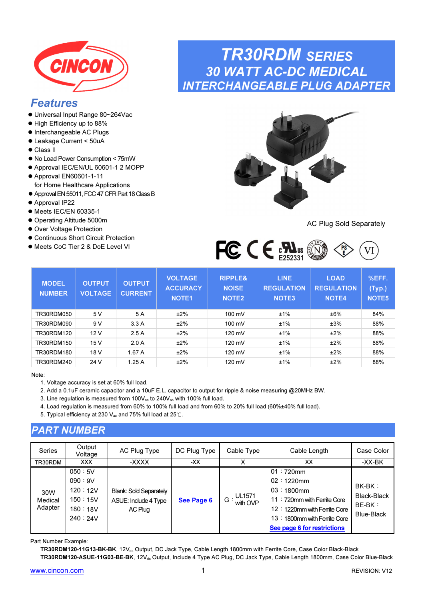<span id="page-0-0"></span>

## Features

- Universal Input Range 80~264Vac
- $\bullet$  High Efficiency up to 88%
- $\bullet$  Interchangeable AC Plugs
- Leakage Current < 50uA
- Class II
- No Load Power Consumption < 75mW
- Approval IEC/EN/UL 60601-1 2 MOPP
- Approval EN60601-1-11 for Home Healthcare Applications
- Approval EN 55011, FCC 47 CFR Part 18 Class B
- Approval IP22
- $\bullet$  Meets IEC/EN 60335-1
- Operating Altitude 5000m
- Over Voltage Protection
- Continuous Short Circuit Protection
- Meets CoC Tier 2 & DoE Level VI

# TR30RDM SERIES 30 WATT AC-DC MEDICAL INTERCHANGEABLE PLUG ADAPTER



### AC Plug Sold Separately



| <b>MODEL</b><br><b>NUMBER</b> | <b>OUTPUT</b><br><b>VOLTAGE</b> | <b>OUTPUT</b><br><b>CURRENT</b> | <b>VOLTAGE</b><br><b>ACCURACY</b><br><b>NOTE1</b> | <b>RIPPLE&amp;</b><br><b>NOISE</b><br>NOTE <sub>2</sub> | <b>LINE</b><br><b>REGULATION</b><br>NOTE <sub>3</sub> | <b>LOAD</b><br><b>REGULATION</b><br><b>NOTE4</b> | %EFF.<br>(Typ.)<br>NOTE <sub>5</sub> |
|-------------------------------|---------------------------------|---------------------------------|---------------------------------------------------|---------------------------------------------------------|-------------------------------------------------------|--------------------------------------------------|--------------------------------------|
| TR30RDM050                    | 5 V                             | 5 A                             | ±2%                                               | 100 mV                                                  | ±1%                                                   | ±6%                                              | 84%                                  |
| TR30RDM090                    | 9 V                             | 3.3A                            | ±2%                                               | 100 mV                                                  | ±1%                                                   | ±3%                                              | 88%                                  |
| TR30RDM120                    | 12V                             | 2.5A                            | ±2%                                               | 120 mV                                                  | ±1%                                                   | ±2%                                              | 88%                                  |
| TR30RDM150                    | 15 V                            | 2.0A                            | ±2%                                               | 120 mV                                                  | ±1%                                                   | ±2%                                              | 88%                                  |
| TR30RDM180                    | 18 V                            | 1.67A                           | ±2%                                               | 120 mV                                                  | ±1%                                                   | ±2%                                              | 88%                                  |
| TR30RDM240                    | 24 V                            | 1.25A                           | ±2%                                               | 120 mV                                                  | ±1%                                                   | ±2%                                              | 88%                                  |

#### Note:

1. Voltage accuracy is set at 60% full load.

- 2. Add a 0.1uF ceramic capacitor and a 10uF E.L. capacitor to output for ripple & noise measuring @20MHz BW.
- 3. Line regulation is measured from  $100V_{ac}$  to  $240V_{ac}$  with 100% full load.
- 4. Load regulation is measured from 60% to 100% full load and from 60% to 20% full load (60%±40% full load).
- 5. Typical efficiency at 230  $V_{ac}$  and 75% full load at 25℃.

### PART NUMBER

| <b>Series</b>             | Output<br>Voltage                                            | AC Plug Type                                                     | DC Plug Type | Cable Type                          | Cable Length                                                                                                                                                              | Case Color                                        |
|---------------------------|--------------------------------------------------------------|------------------------------------------------------------------|--------------|-------------------------------------|---------------------------------------------------------------------------------------------------------------------------------------------------------------------------|---------------------------------------------------|
| TR30RDM                   | <b>XXX</b>                                                   | -XXXX                                                            | -XX          | х                                   | XX                                                                                                                                                                        | -XX-BK                                            |
| 30W<br>Medical<br>Adapter | 050:5V<br>090:9V<br>120:12V<br>150:15V<br>180:18V<br>240:24V | <b>Blank: Sold Separately</b><br>ASUE: Include 4 Type<br>AC Plug | See Page 6   | $\overline{G}$ : UL1571<br>with OVP | $01:720$ mm<br>$02:1220$ mm<br>$03:1800$ mm<br>11: 720mm with Ferrite Core<br>12: 1220mm with Ferrite Core<br>13: 1800mm with Ferrite Core<br>See page 6 for restrictions | $BK-BK:$<br>Black-Black<br>$BE-BK:$<br>Blue-Black |

Part Number Example:

TR30RDM120-11G13-BK-BK, 12Vdc Output, DC Jack Type, Cable Length 1800mm with Ferrite Core, Case Color Black-Black TR30RDM120-ASUE-11G03-BE-BK, 12V<sub>dc</sub> Output, Include 4 Type AC Plug, DC Jack Type, Cable Length 1800mm, Case Color Blue-Black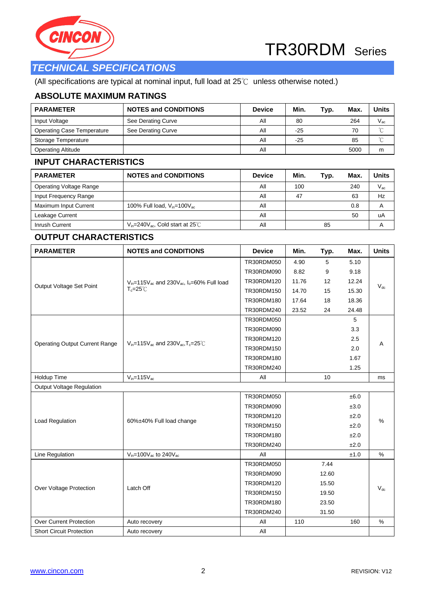



### *TECHNICAL SPECIFICATIONS*

(All specifications are typical at nominal input, full load at 25℃ unless otherwise noted.)

### **ABSOLUTE MAXIMUM RATINGS**

| <b>PARAMETER</b>                  | <b>NOTES and CONDITIONS</b> | <b>Device</b> | Min.  | Typ. | Max. | Units        |
|-----------------------------------|-----------------------------|---------------|-------|------|------|--------------|
| Input Voltage                     | See Derating Curve          | ΑIΙ           | 80    |      | 264  | $V_{\rm ac}$ |
| <b>Operating Case Temperature</b> | See Derating Curve          | ΑIΙ           | $-25$ |      | 70   | $\sim$       |
| Storage Temperature               |                             | All           | $-25$ |      | 85   | $\sim$       |
| <b>Operating Altitude</b>         |                             | ΑIΙ           |       |      | 5000 | m            |

### **INPUT CHARACTERISTICS**

| <b>PARAMETER</b>               | <b>NOTES and CONDITIONS</b>                 | <b>Device</b> | Min. | Typ. | Max | Units        |
|--------------------------------|---------------------------------------------|---------------|------|------|-----|--------------|
| <b>Operating Voltage Range</b> |                                             | ΑIΙ           | 100  |      | 240 | $V_{\rm ac}$ |
| Input Frequency Range          |                                             | ΑIΙ           | 47   |      | 63  | Hz           |
| <b>Maximum Input Current</b>   | 100% Full load, $V_{in}$ =100 $V_{ac}$      | All           |      |      | 0.8 |              |
| Leakage Current                |                                             | Αll           |      |      | 50  | uA           |
| Inrush Current                 | $V_{in}$ =240 $V_{ac}$ , Cold start at 25°C | All           |      | 85   |     |              |

### **OUTPUT CHARACTERISTICS**

| <b>PARAMETER</b>                      | <b>NOTES and CONDITIONS</b>                                       | <b>Device</b> | Min.  | Typ.  | Max.  | <b>Units</b> |  |
|---------------------------------------|-------------------------------------------------------------------|---------------|-------|-------|-------|--------------|--|
|                                       |                                                                   | TR30RDM050    | 4.90  | 5     | 5.10  |              |  |
|                                       |                                                                   | TR30RDM090    | 8.82  | 9     | 9.18  |              |  |
| Output Voltage Set Point              | $V_{in}$ =115 $V_{ac}$ and 230 $V_{ac}$ , $I_{o}$ =60% Full load  | TR30RDM120    | 11.76 | 12    | 12.24 | $V_{dc}$     |  |
|                                       | $T_c = 25^\circ C$                                                | TR30RDM150    | 14.70 | 15    | 15.30 |              |  |
|                                       |                                                                   | TR30RDM180    | 17.64 | 18    | 18.36 |              |  |
|                                       |                                                                   | TR30RDM240    | 23.52 | 24    | 24.48 |              |  |
|                                       |                                                                   | TR30RDM050    |       |       | 5     |              |  |
|                                       |                                                                   | TR30RDM090    |       |       | 3.3   |              |  |
|                                       | $V_{in}$ =115 $V_{ac}$ and 230 $V_{ac}$ , T <sub>c</sub> =25 $°C$ | TR30RDM120    |       |       | 2.5   |              |  |
| <b>Operating Output Current Range</b> |                                                                   | TR30RDM150    |       |       | 2.0   | A            |  |
|                                       |                                                                   | TR30RDM180    |       |       | 1.67  |              |  |
|                                       |                                                                   | TR30RDM240    |       |       | 1.25  |              |  |
| Holdup Time                           | $V_{in} = 115V_{ac}$                                              | All           |       | 10    |       | ms           |  |
| Output Voltage Regulation             |                                                                   |               |       |       |       |              |  |
|                                       |                                                                   | TR30RDM050    |       |       | ±6.0  |              |  |
|                                       |                                                                   | TR30RDM090    |       |       | ±3.0  |              |  |
| Load Regulation                       | 60%±40% Full load change                                          | TR30RDM120    |       |       | ±2.0  | $\%$         |  |
|                                       |                                                                   | TR30RDM150    |       |       | ±2.0  |              |  |
|                                       |                                                                   | TR30RDM180    |       |       | ±2.0  |              |  |
|                                       |                                                                   | TR30RDM240    |       |       | ±2.0  |              |  |
| Line Regulation                       | $V_{in}$ =100 $V_{ac}$ to 240 $V_{ac}$                            | All           |       |       | ±1.0  | $\%$         |  |
|                                       |                                                                   | TR30RDM050    |       | 7.44  |       |              |  |
|                                       |                                                                   | TR30RDM090    |       | 12.60 |       |              |  |
|                                       | Latch Off                                                         | TR30RDM120    |       | 15.50 |       | $V_{dc}$     |  |
| Over Voltage Protection               |                                                                   | TR30RDM150    |       | 19.50 |       |              |  |
|                                       |                                                                   | TR30RDM180    |       | 23.50 |       |              |  |
|                                       |                                                                   | TR30RDM240    |       | 31.50 |       |              |  |
| <b>Over Current Protection</b>        | Auto recovery                                                     | All           | 110   |       | 160   | %            |  |
| <b>Short Circuit Protection</b>       | Auto recovery                                                     | All           |       |       |       |              |  |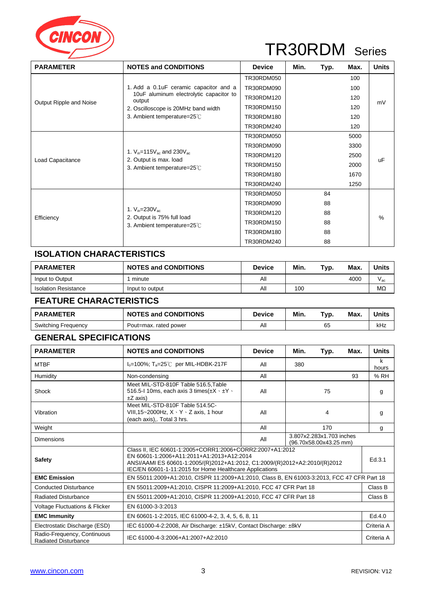

| <b>PARAMETER</b>        | <b>NOTES and CONDITIONS</b>                                                                       | <b>Device</b> | Min. | Typ. | Max. | <b>Units</b> |
|-------------------------|---------------------------------------------------------------------------------------------------|---------------|------|------|------|--------------|
|                         |                                                                                                   | TR30RDM050    |      |      | 100  |              |
|                         | 1. Add a 0.1 u F ceramic capacitor and a                                                          | TR30RDM090    |      |      | 100  |              |
|                         | 10uF aluminum electrolytic capacitor to<br>output                                                 | TR30RDM120    |      |      | 120  | mV           |
| Output Ripple and Noise | 2. Oscilloscope is 20MHz band width                                                               | TR30RDM150    |      |      | 120  |              |
|                         | 3. Ambient temperature=25°C                                                                       | TR30RDM180    |      |      | 120  |              |
|                         |                                                                                                   | TR30RDM240    |      |      | 120  |              |
|                         |                                                                                                   | TR30RDM050    |      |      | 5000 |              |
|                         | 1. $V_{in} = 115V_{ac}$ and 230 $V_{ac}$<br>2. Output is max. load<br>3. Ambient temperature=25°C | TR30RDM090    |      |      | 3300 | <b>uF</b>    |
|                         |                                                                                                   | TR30RDM120    |      |      | 2500 |              |
| Load Capacitance        |                                                                                                   | TR30RDM150    |      |      | 2000 |              |
|                         |                                                                                                   | TR30RDM180    |      |      | 1670 |              |
|                         |                                                                                                   | TR30RDM240    |      |      | 1250 |              |
|                         |                                                                                                   | TR30RDM050    |      | 84   |      |              |
|                         |                                                                                                   | TR30RDM090    |      | 88   |      |              |
|                         | 1. $V_{in} = 230V_{ac}$                                                                           | TR30RDM120    |      | 88   |      | $\%$         |
| Efficiency              | 2. Output is 75% full load<br>3. Ambient temperature=25°C                                         | TR30RDM150    |      | 88   |      |              |
|                         |                                                                                                   | TR30RDM180    |      | 88   |      |              |
|                         |                                                                                                   | TR30RDM240    |      | 88   |      |              |

### **ISOLATION CHARACTERISTICS**

| <b>PARAMETER</b>            | <b>NOTES and CONDITIONS</b> | <b>Device</b> | Min. | Typ. | <b>Max</b> | Units     |
|-----------------------------|-----------------------------|---------------|------|------|------------|-----------|
| Input to Output             | minute                      | All           |      |      | 4000       | V ac      |
| <b>Isolation Resistance</b> | Input to output             | All           | 100  |      |            | $M\Omega$ |

### **FEATURE CHARACTERISTICS**

| <b>PARAMETER</b>           | <b>NOTES and CONDITIONS</b> | <b>Device</b> | Min. | Typ. | Max. | <b>Units</b> |
|----------------------------|-----------------------------|---------------|------|------|------|--------------|
| <b>Switching Frequency</b> | Pout=max. rated power       | Αll           |      | 65   |      | kHz          |

### **GENERAL SPECIFICATIONS**

| <b>PARAMETER</b>                                           | <b>NOTES and CONDITIONS</b>                                                                                                                                                                                                                    | <b>Device</b>                                             | Min. | Typ. | Max. | <b>Units</b> |
|------------------------------------------------------------|------------------------------------------------------------------------------------------------------------------------------------------------------------------------------------------------------------------------------------------------|-----------------------------------------------------------|------|------|------|--------------|
| <b>MTBF</b>                                                | $I_0$ =100%; T <sub>a</sub> =25°C per MIL-HDBK-217F                                                                                                                                                                                            | All                                                       | 380  |      |      | k<br>hours   |
| <b>Humidity</b>                                            | Non-condensing                                                                                                                                                                                                                                 | All                                                       |      | 93   |      |              |
| Shock                                                      | Meet MIL-STD-810F Table 516.5, Table<br>516.5-1 10ms, each axis 3 times $(\pm X \cdot \pm Y \cdot$<br>$\pm Z$ axis)                                                                                                                            | All                                                       | 75   |      |      | g            |
| Vibration                                                  | Meet MIL-STD-810F Table 514.5C-<br>VIII, 15~2000 Hz, $X \cdot Y \cdot Z$ axis, 1 hour<br>(each axis),. Total 3 hrs.                                                                                                                            | All                                                       |      | 4    |      | g            |
| Weight                                                     |                                                                                                                                                                                                                                                | All                                                       |      | 170  |      | g            |
| Dimensions                                                 |                                                                                                                                                                                                                                                | 3.807x2.283x1.703 inches<br>All<br>(96.70x58.00x43.25 mm) |      |      |      |              |
| <b>Safety</b>                                              | Class II, IEC 60601-1:2005+CORR1:2006+CORR2:2007+A1:2012<br>EN 60601-1:2006+A11:2011+A1:2013+A12:2014<br>ANSI/AAMI ES 60601-1:2005/(R)2012+A1:2012, C1:2009/(R)2012+A2:2010/(R)2012<br>IEC/EN 60601-1-11:2015 for Home Healthcare Applications |                                                           |      |      |      | Ed.3.1       |
| <b>EMC Emission</b>                                        | EN 55011:2009+A1:2010, CISPR 11:2009+A1:2010, Class B, EN 61003-3:2013, FCC 47 CFR Part 18                                                                                                                                                     |                                                           |      |      |      |              |
| <b>Conducted Disturbance</b>                               | EN 55011:2009+A1:2010, CISPR 11:2009+A1:2010, FCC 47 CFR Part 18                                                                                                                                                                               |                                                           |      |      |      | Class B      |
| <b>Radiated Disturbance</b>                                | EN 55011:2009+A1:2010, CISPR 11:2009+A1:2010, FCC 47 CFR Part 18                                                                                                                                                                               |                                                           |      |      |      | Class B      |
| <b>Voltage Fluctuations &amp; Flicker</b>                  | EN 61000-3-3:2013                                                                                                                                                                                                                              |                                                           |      |      |      |              |
| <b>EMC Immunity</b>                                        | EN 60601-1-2:2015, IEC 61000-4-2, 3, 4, 5, 6, 8, 11                                                                                                                                                                                            |                                                           |      |      |      | Ed.4.0       |
| Electrostatic Discharge (ESD)                              | IEC 61000-4-2:2008, Air Discharge: ±15kV, Contact Discharge: ±8kV                                                                                                                                                                              |                                                           |      |      |      |              |
| Radio-Frequency, Continuous<br><b>Radiated Disturbance</b> | IEC 61000-4-3:2006+A1:2007+A2:2010                                                                                                                                                                                                             |                                                           |      |      |      | Criteria A   |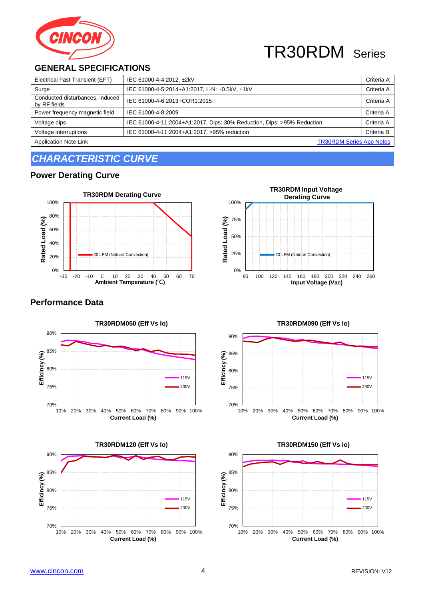

### **GENERAL SPECIFICATIONS**

| Electrical Fast Transient (EFT)                 | IEC 61000-4-4:2012, ±2kV                                               | Criteria A |
|-------------------------------------------------|------------------------------------------------------------------------|------------|
| Surge                                           | IEC 61000-4-5:2014+A1:2017, L-N: ±0.5kV, ±1kV                          | Criteria A |
| Conducted disturbances, induced<br>by RF fields | IEC 61000-4-6:2013+COR1:2015                                           | Criteria A |
| Power frequency magnetic field                  | IEC 61000-4-8:2009                                                     | Criteria A |
| Voltage dips                                    | IEC 61000-4-11:2004+A1:2017, Dips: 30% Reduction, Dips: >95% Reduction | Criteria A |
| Voltage interruptions                           | IEC 61000-4-11:2004+A1:2017, >95% reduction                            | Criteria B |
| <b>Application Note Link</b>                    | <b>TR30RDM Series App Notes</b>                                        |            |

## *CHARACTERISTIC CURVE*

### **Power Derating Curve**



# **Performance Data**





#### **TR30RDM Input Voltage Derating Curve**  100% Rated Load (%) 75% **Rated Load (%)** 50% 25% 20 LFM (Natural Conv 0% 80 100 120 140 160 180 200 220 240 260 **Input Voltage (Vac)**

### $\frac{1}{10\%}$ 75% 80% 85% 90% 10% 20% 30% 40% 50% 60% 70% 80% 90% 100% **Efficincy (%) Current Load (%) TR30RDM090 (Eff Vs Io)** 115V 230V

### **TR30RDM150 (Eff Vs Io)** 90% 85% Efficincy (%) **Efficincy (%)** 80% 115V 75%  $230V$  $70\%$  L<br>10% 10% 20% 30% 40% 50% 60% 70% 80% 90% 100% **Current Load (%)**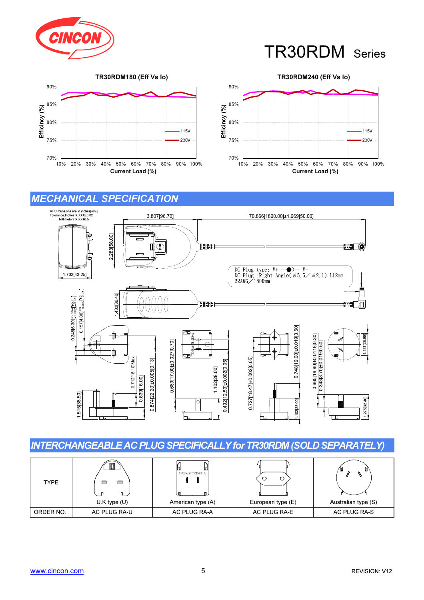





### MECHANICAL SPECIFICATION



### INTERCHANGEABLE AC PLUG SPECIFICALLY for TR30RDM (SOLD SEPARATELY)

| <b>TYPE</b> | ⊟<br>⊟           | TR30RAM/TR15RA-A  |                   |                     |
|-------------|------------------|-------------------|-------------------|---------------------|
|             | $U.K$ type $(U)$ | American type (A) | European type (E) | Australian type (S) |
| ORDER NO.   | AC PLUG RA-U     | AC PLUG RA-A      | AC PLUG RA-E      | AC PLUG RA-S        |